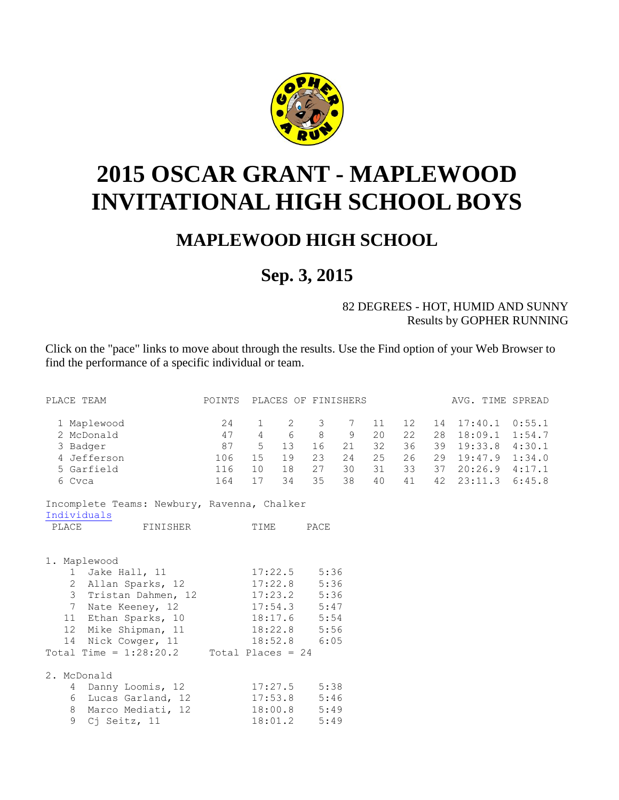

## <span id="page-0-0"></span>**2015 OSCAR GRANT - MAPLEWOOD INVITATIONAL HIGH SCHOOL BOYS**

## **MAPLEWOOD HIGH SCHOOL**

## **Sep. 3, 2015**

## 82 DEGREES - HOT, HUMID AND SUNNY Results by GOPHER RUNNING

Click on the "pace" links to move about through the results. Use the Find option of your Web Browser to find the performance of a specific individual or team.

| PLACE TEAM                                  | POINTS PLACES OF FINISHERS |              |                |                  |    |    |                   |  | AVG. TIME SPREAD  |
|---------------------------------------------|----------------------------|--------------|----------------|------------------|----|----|-------------------|--|-------------------|
| 1 Maplewood                                 | 24                         | $\mathbf{1}$ | $\overline{2}$ | 3 <sup>7</sup>   | 7  | 11 | $12 \overline{ }$ |  | 14 17:40.1 0:55.1 |
| 2 McDonald                                  | 47                         |              | $4\quad 6$     | 8                | 9  | 20 | 22                |  | 28 18:09.1 1:54.7 |
| 3 Badger                                    | 87                         | $5^{\circ}$  | 13             | 16               | 21 | 32 | 36                |  | 39 19:33.8 4:30.1 |
| 4 Jefferson                                 | 106                        | 15           | 19             | 23               | 24 | 25 | 26                |  | 29 19:47.9 1:34.0 |
| 5 Garfield                                  | 116                        | 10           | 18             | 27               | 30 | 31 | 33                |  | 37 20:26.9 4:17.1 |
| 6 Cvca                                      | 164                        | 17           | 34             | 35               | 38 | 40 | 41                |  | 42 23:11.3 6:45.8 |
| Incomplete Teams: Newbury, Ravenna, Chalker |                            |              |                |                  |    |    |                   |  |                   |
| Individuals                                 |                            |              |                |                  |    |    |                   |  |                   |
| PLACE<br>FINISHER                           |                            | TIME         |                | PACE             |    |    |                   |  |                   |
|                                             |                            |              |                |                  |    |    |                   |  |                   |
| 1. Maplewood                                |                            |              |                |                  |    |    |                   |  |                   |
| 1 Jake Hall, 11                             |                            |              |                | $17:22.5$ 5:36   |    |    |                   |  |                   |
| 2 Allan Sparks, 12                          |                            |              |                | $17:22.8$ 5:36   |    |    |                   |  |                   |
| 3 Tristan Dahmen, 12 17:23.2 5:36           |                            |              |                |                  |    |    |                   |  |                   |
| 7 Nate Keeney, 12                           |                            |              |                | $17:54.3$ $5:47$ |    |    |                   |  |                   |
| Ethan Sparks, 10 18:17.6 5:54<br>11         |                            |              |                |                  |    |    |                   |  |                   |
| Mike Shipman, 11 18:22.8 5:56<br>12         |                            |              |                |                  |    |    |                   |  |                   |
| 14 Nick Cowger, 11 18:52.8 6:05             |                            |              |                |                  |    |    |                   |  |                   |
| Total Time = $1:28:20.2$ Total Places = 24  |                            |              |                |                  |    |    |                   |  |                   |
| 2. McDonald                                 |                            |              |                |                  |    |    |                   |  |                   |
| 4 Danny Loomis, 12                          |                            |              |                | $17:27.5$ 5:38   |    |    |                   |  |                   |
| 6 Lucas Garland, 12 17:53.8 5:46            |                            |              |                |                  |    |    |                   |  |                   |
| Marco Mediati, 12 18:00.8 5:49<br>8         |                            |              |                |                  |    |    |                   |  |                   |
| 9<br>Cj Seitz, 11                           |                            | 18:01.2      |                | 5:49             |    |    |                   |  |                   |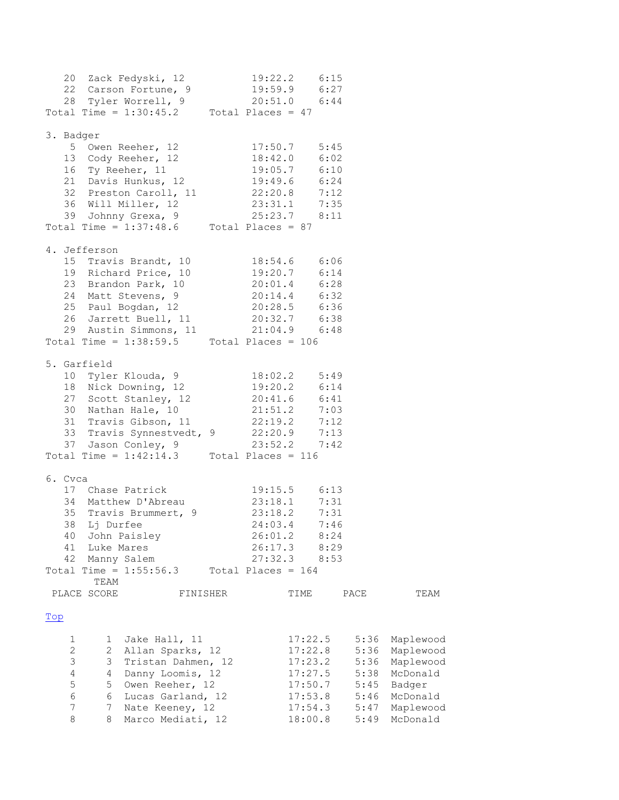<span id="page-1-0"></span>

|           |                |              | 20 Zack Fedyski, 12<br>22 Carson Fortune, 9                                                                                                   | 19:22.2 6:15                                 |         |      |      |           |
|-----------|----------------|--------------|-----------------------------------------------------------------------------------------------------------------------------------------------|----------------------------------------------|---------|------|------|-----------|
|           |                |              |                                                                                                                                               | 19:59.9 6:27                                 |         |      |      |           |
|           |                |              | 28 Tyler Worrell, 9                                                                                                                           | $20:51.0$ 6:44                               |         |      |      |           |
|           |                |              | Total Time = $1:30:45.2$ Total Places = 47                                                                                                    |                                              |         |      |      |           |
| 3. Badger |                |              |                                                                                                                                               |                                              |         |      |      |           |
|           |                |              | 5 Owen Reeher, 12                                                                                                                             | $17:50.7$ 5:45                               |         |      |      |           |
|           |                |              | 13 Cody Reeher, 12                                                                                                                            |                                              |         |      |      |           |
|           |                |              | 16 Ty Reeher, 11                                                                                                                              | 18:42.0 6:02<br>19:05.7 6:10<br>19:49.6 6:24 |         |      |      |           |
|           |                |              | 21 Davis Hunkus, 12                                                                                                                           |                                              |         |      |      |           |
|           |                |              | 32 Preston Caroll, 11 22:20.8 7:12<br>36 Will Miller, 12 23:31.1 7:35                                                                         |                                              |         |      |      |           |
|           |                |              |                                                                                                                                               |                                              |         |      |      |           |
|           |                |              | 39 Johnny Grexa, 9                                                                                                                            | $25:23.7$ 8:11                               |         |      |      |           |
|           |                |              | Total Time = $1:37:48.6$ Total Places = 87                                                                                                    |                                              |         |      |      |           |
|           |                | 4. Jefferson |                                                                                                                                               |                                              |         |      |      |           |
|           |                |              |                                                                                                                                               |                                              |         |      |      |           |
|           |                |              | 15 Travis Brandt, 10 18:54.6 6:06<br>19 Richard Price, 10 19:20.7 6:14<br>23 Brandon Park, 10 20:01.4 6:28<br>24 Matt Stevens, 9 20:14.4 6:32 |                                              |         |      |      |           |
|           |                |              |                                                                                                                                               |                                              |         |      |      |           |
|           |                |              |                                                                                                                                               |                                              |         |      |      |           |
|           |                |              | 25 Paul Bogdan, 12 20:28.5 6:36                                                                                                               |                                              |         |      |      |           |
|           |                |              | 26 Jarrett Buell, 11 20:32.7 6:38                                                                                                             |                                              |         |      |      |           |
|           |                |              | 29 Austin Simmons, 11                                                                                                                         | $21:04.9$ 6:48                               |         |      |      |           |
|           |                |              | Total Time = $1:38:59.5$ Total Places = 106                                                                                                   |                                              |         |      |      |           |
|           |                |              |                                                                                                                                               |                                              |         |      |      |           |
|           |                | 5. Garfield  |                                                                                                                                               |                                              |         |      |      |           |
|           |                |              | 10 Tyler Klouda, 9                                                                                                                            | $18:02.2$ $5:49$                             |         |      |      |           |
|           |                |              | 18 Nick Downing, 12                                                                                                                           | $19:20.2$ 6:14                               |         |      |      |           |
|           |                |              | 27 Scott Stanley, 12                                                                                                                          | $20:41.6$ $6:41$                             |         |      |      |           |
|           |                |              | 30 Nathan Hale, 10                                                                                                                            | $21:51.2$ 7:03                               |         |      |      |           |
|           |                |              | 31 Travis Gibson, 11 22:19.2 7:12                                                                                                             |                                              |         |      |      |           |
|           |                |              | 33 Travis Synnestvedt, 9 22:20.9 7:13                                                                                                         |                                              |         |      |      |           |
|           |                |              | 37 Jason Conley, 9 23:52.2 7<br>Total Time = $1:42:14.3$ Total Places = 116                                                                   | $23:52.2$ 7:42                               |         |      |      |           |
|           |                |              |                                                                                                                                               |                                              |         |      |      |           |
| 6. Cvca   |                |              |                                                                                                                                               |                                              |         |      |      |           |
|           |                |              | 17 Chase Patrick                                                                                                                              | $19:15.5$ 6:13                               |         |      |      |           |
|           |                |              | 34 Matthew D'Abreau                                                                                                                           | $23:18.1$ 7:31                               |         |      |      |           |
|           |                |              | 35 Travis Brummert, 9 23:18.2 7:31                                                                                                            |                                              |         |      |      |           |
|           |                |              | 38 Lj Durfee                                                                                                                                  | 24:03.4                                      |         | 7:46 |      |           |
|           | 40             |              | John Paisley                                                                                                                                  | 26:01.2                                      |         | 8:24 |      |           |
|           | 41             | Luke Mares   |                                                                                                                                               | 26:17.3                                      |         | 8:29 |      |           |
|           | 42             | Manny Salem  |                                                                                                                                               | 27:32.3                                      |         | 8:53 |      |           |
|           |                |              | Total Time = $1:55:56.3$                                                                                                                      | Total Places = $164$                         |         |      |      |           |
|           |                | TEAM         |                                                                                                                                               |                                              |         |      |      |           |
|           |                | PLACE SCORE  | FINISHER                                                                                                                                      |                                              | TIME    |      | PACE | TEAM      |
| Top       |                |              |                                                                                                                                               |                                              |         |      |      |           |
|           |                |              |                                                                                                                                               |                                              |         |      |      |           |
|           | 1              | 1            | Jake Hall, 11                                                                                                                                 |                                              | 17:22.5 |      | 5:36 | Maplewood |
|           | $\mathbf{2}$   | 2            | Allan Sparks, 12                                                                                                                              |                                              | 17:22.8 |      | 5:36 | Maplewood |
|           | 3              | 3            | Tristan Dahmen, 12                                                                                                                            |                                              | 17:23.2 |      | 5:36 | Maplewood |
|           | $\overline{4}$ | 4            | Danny Loomis, 12                                                                                                                              |                                              | 17:27.5 |      | 5:38 | McDonald  |
|           | 5              | 5            | Owen Reeher, 12                                                                                                                               |                                              | 17:50.7 |      | 5:45 | Badger    |
|           | 6              | 6            | Lucas Garland, 12                                                                                                                             |                                              | 17:53.8 |      | 5:46 | McDonald  |
|           | 7              | 7            | Nate Keeney, 12                                                                                                                               |                                              | 17:54.3 |      | 5:47 | Maplewood |
|           | 8              | 8            | Marco Mediati, 12                                                                                                                             |                                              | 18:00.8 |      | 5:49 | McDonald  |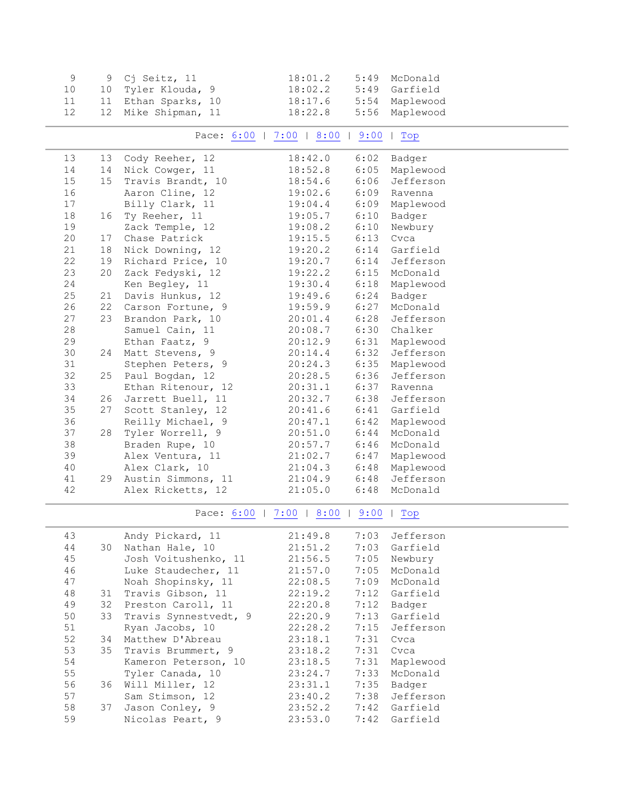<span id="page-2-1"></span><span id="page-2-0"></span>

| 9  | 9  | Cj Seitz, 11          | 18:01.2                         | 5:49 | McDonald                |
|----|----|-----------------------|---------------------------------|------|-------------------------|
| 10 | 10 | Tyler Klouda, 9       | 18:02.2                         | 5:49 | Garfield                |
| 11 |    | 11 Ethan Sparks, 10   | 18:17.6                         | 5:54 | Maplewood               |
| 12 | 12 | Mike Shipman, 11      | 18:22.8                         | 5:56 | Maplewood               |
|    |    |                       |                                 |      |                         |
|    |    |                       | Pace: 6:00   7:00   8:00        | 9:00 | $ $ Top                 |
| 13 | 13 | Cody Reeher, 12       | 18:42.0                         | 6:02 | Badger                  |
| 14 | 14 | Nick Cowger, 11       | 18:52.8                         | 6:05 | Maplewood               |
| 15 | 15 | Travis Brandt, 10     | 18:54.6                         | 6:06 | Jefferson               |
| 16 |    | Aaron Cline, 12       | 19:02.6                         | 6:09 | Ravenna                 |
| 17 |    | Billy Clark, 11       | 19:04.4                         | 6:09 | Maplewood               |
| 18 | 16 | Ty Reeher, 11         | 19:05.7                         | 6:10 | Badger                  |
| 19 |    | Zack Temple, 12       | 19:08.2                         | 6:10 | Newbury                 |
| 20 | 17 | Chase Patrick         | 19:15.5                         | 6:13 | Cvca                    |
| 21 | 18 | Nick Downing, 12      | 19:20.2                         | 6:14 | Garfield                |
| 22 | 19 | Richard Price, 10     | 19:20.7                         | 6:14 | Jefferson               |
| 23 | 20 | Zack Fedyski, 12      | 19:22.2                         | 6:15 | McDonald                |
| 24 |    | Ken Begley, 11        | 19:30.4                         | 6:18 | Maplewood               |
| 25 | 21 | Davis Hunkus, 12      | 19:49.6                         | 6:24 | Badger                  |
| 26 |    | 22 Carson Fortune, 9  | 19:59.9                         | 6:27 | McDonald                |
| 27 |    | 23 Brandon Park, 10   | 20:01.4                         | 6:28 | Jefferson               |
| 28 |    | Samuel Cain, 11       | 20:08.7                         | 6:30 | Chalker                 |
| 29 |    | Ethan Faatz, 9        | 20:12.9                         | 6:31 | Maplewood               |
| 30 | 24 | Matt Stevens, 9       | 20:14.4                         | 6:32 | Jefferson               |
| 31 |    | Stephen Peters, 9     | 20:24.3                         | 6:35 | Maplewood               |
| 32 | 25 | Paul Bogdan, 12       | 20:28.5                         | 6:36 | Jefferson               |
| 33 |    | Ethan Ritenour, 12    | 20:31.1                         | 6:37 | Ravenna                 |
| 34 | 26 | Jarrett Buell, 11     | 20:32.7                         | 6:38 | Jefferson               |
| 35 | 27 | Scott Stanley, 12     | 20:41.6                         | 6:41 | Garfield                |
| 36 |    | Reilly Michael, 9     | 20:47.1                         | 6:42 | Maplewood               |
| 37 | 28 | Tyler Worrell, 9      | 20:51.0                         | 6:44 | McDonald                |
| 38 |    | Braden Rupe, 10       | 20:57.7                         | 6:46 | McDonald                |
| 39 |    | Alex Ventura, 11      | 21:02.7                         | 6:47 | Maplewood               |
| 40 |    | Alex Clark, 10        | 21:04.3                         | 6:48 | Maplewood               |
| 41 | 29 | Austin Simmons, 11    | 21:04.9                         | 6:48 | Jefferson               |
| 42 |    | Alex Ricketts, 12     | 21:05.0                         | 6:48 | McDonald                |
|    |    |                       | Pace: 6:00   7:00   8:00   9:00 |      | $  \nightharpoonup$ Top |
| 43 |    | Andy Pickard, 11      | 21:49.8                         | 7:03 | Jefferson               |
| 44 | 30 | Nathan Hale, 10       | 21:51.2                         | 7:03 | Garfield                |
| 45 |    | Josh Voitushenko, 11  | 21:56.5                         | 7:05 | Newbury                 |
| 46 |    | Luke Staudecher, 11   | 21:57.0                         | 7:05 | McDonald                |
| 47 |    | Noah Shopinsky, 11    | 22:08.5                         | 7:09 | McDonald                |
| 48 | 31 | Travis Gibson, 11     | 22:19.2                         | 7:12 | Garfield                |
| 49 | 32 | Preston Caroll, 11    | 22:20.8                         | 7:12 | Badger                  |
| 50 | 33 | Travis Synnestvedt, 9 | 22:20.9                         | 7:13 | Garfield                |
| 51 |    | Ryan Jacobs, 10       | 22:28.2                         | 7:15 | Jefferson               |
| 52 | 34 | Matthew D'Abreau      | 23:18.1                         | 7:31 | Cvca                    |
| 53 | 35 | Travis Brummert, 9    | 23:18.2                         | 7:31 | Cvca                    |
| 54 |    | Kameron Peterson, 10  | 23:18.5                         | 7:31 | Maplewood               |
| 55 |    | Tyler Canada, 10      | 23:24.7                         | 7:33 | McDonald                |
| 56 | 36 | Will Miller, 12       | 23:31.1                         | 7:35 | Badger                  |
| 57 |    | Sam Stimson, 12       | 23:40.2                         | 7:38 | Jefferson               |
| 58 | 37 | Jason Conley, 9       | 23:52.2                         | 7:42 | Garfield                |
| 59 |    | Nicolas Peart, 9      | 23:53.0                         | 7:42 | Garfield                |